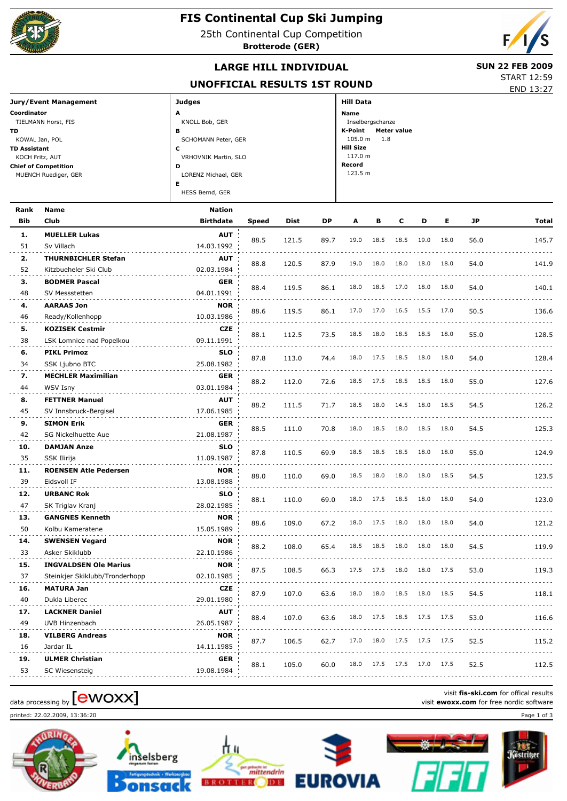

## **FIS Continental Cup Ski Jumping**

25th Continental Cup Competition

**Brotterode (GER)**



## **LARGE HILL INDIVIDUAL** SUN 22 FEB 2009

## **UNOFFICIAL RESULTS 1ST ROUND**

END 13:27 START 12:59

| Jury/Event Management       | <b>Judges</b>        | <b>Hill Data</b>       |  |  |  |  |
|-----------------------------|----------------------|------------------------|--|--|--|--|
| Coordinator                 | A                    | <b>Name</b>            |  |  |  |  |
| TIELMANN Horst, FIS         | KNOLL Bob, GER       | Inselbergschanze       |  |  |  |  |
| TD                          | в                    | K-Point<br>Meter value |  |  |  |  |
| KOWAL Jan, POL              | SCHOMANN Peter, GER  | 105.0 m<br>1.8         |  |  |  |  |
| <b>TD Assistant</b>         | c                    | <b>Hill Size</b>       |  |  |  |  |
| KOCH Fritz, AUT             | VRHOVNIK Martin, SLO | 117.0 m                |  |  |  |  |
| <b>Chief of Competition</b> | D                    | Record                 |  |  |  |  |
| MUENCH Ruediger, GER        | LORENZ Michael, GER  | 123.5 m                |  |  |  |  |
|                             | Е                    |                        |  |  |  |  |
|                             | HESS Bernd, GER      |                        |  |  |  |  |

| Rank       | Name                           | <b>Nation</b>    |              |             |      |      |      |      |      |      |      |              |
|------------|--------------------------------|------------------|--------------|-------------|------|------|------|------|------|------|------|--------------|
| <b>Bib</b> | Club                           | <b>Birthdate</b> | <b>Speed</b> | <b>Dist</b> | DP   | Α    | в    | C    | D    | Е    | JP   | <b>Total</b> |
| 1.         | <b>MUELLER Lukas</b>           | <b>AUT</b>       |              |             |      | 19.0 | 18.5 | 18.5 | 19.0 | 18.0 |      |              |
| 51         | Sv Villach                     | 14.03.1992       | 88.5         | 121.5       | 89.7 |      |      |      |      |      | 56.0 | 145.7        |
| 2.         | <b>THURNBICHLER Stefan</b>     | <b>AUT</b>       | 88.8         | 120.5       | 87.9 | 19.0 | 18.0 | 18.0 | 18.0 | 18.0 | 54.0 |              |
| 52         | Kitzbueheler Ski Club          | 02.03.1984       |              |             |      |      |      |      |      |      |      | 141.9        |
| 3.         | <b>BODMER Pascal</b>           | <b>GER</b>       | 88.4         | 119.5       | 86.1 | 18.0 | 18.5 | 17.0 | 18.0 | 18.0 | 54.0 | 140.1        |
| 48         | SV Messstetten                 | 04.01.1991       |              |             |      |      |      |      |      |      |      |              |
| 4.         | <b>AARAAS Jon</b>              | <b>NOR</b>       | 88.6         | 119.5       | 86.1 | 17.0 | 17.0 | 16.5 | 15.5 | 17.0 | 50.5 | 136.6        |
| 46         | Ready/Kollenhopp               | 10.03.1986       |              |             |      |      |      |      |      |      |      |              |
| 5.         | <b>KOZISEK Cestmir</b>         | CZE              | 88.1         | 112.5       | 73.5 | 18.5 | 18.0 | 18.5 | 18.5 | 18.0 | 55.0 | 128.5        |
| 38         | LSK Lomnice nad Popelkou       | 09.11.1991       |              |             |      |      |      |      |      |      |      |              |
| 6.         | <b>PIKL Primoz</b>             | <b>SLO</b>       | 87.8         | 113.0       | 74.4 | 18.0 | 17.5 | 18.5 | 18.0 | 18.0 | 54.0 | 128.4        |
| 34         | SSK Ljubno BTC                 | 25.08.1982       |              |             |      |      |      |      |      |      |      |              |
| 7.         | <b>MECHLER Maximilian</b>      | <b>GER</b>       | 88.2         | 112.0       | 72.6 | 18.5 | 17.5 | 18.5 | 18.5 | 18.0 | 55.0 | 127.6        |
| 44         | WSV Isny                       | 03.01.1984       |              |             |      |      |      |      |      |      |      |              |
| 8.         | <b>FETTNER Manuel</b>          | <b>AUT</b>       | 88.2         | 111.5       | 71.7 | 18.5 | 18.0 | 14.5 | 18.0 | 18.5 | 54.5 | 126.2        |
| 45         | SV Innsbruck-Bergisel          | 17.06.1985       |              |             |      |      |      |      |      |      |      |              |
| 9.         | <b>SIMON Erik</b>              | <b>GER</b>       | 88.5         | 111.0       | 70.8 | 18.0 | 18.5 | 18.0 | 18.5 | 18.0 | 54.5 | 125.3        |
| 42         | <b>SG Nickelhuette Aue</b>     | 21.08.1987       |              |             |      |      |      |      |      |      |      |              |
| 10.        | <b>DAMJAN Anze</b>             | <b>SLO</b>       | 87.8         | 110.5       | 69.9 | 18.5 | 18.5 | 18.5 | 18.0 | 18.0 | 55.0 | 124.9        |
| 35         | SSK Ilirija                    | 11.09.1987       |              |             |      |      |      |      |      |      |      |              |
| 11.        | <b>ROENSEN Atle Pedersen</b>   | <b>NOR</b>       | 88.0         | 110.0       | 69.0 | 18.5 | 18.0 | 18.0 | 18.0 | 18.5 | 54.5 | 123.5        |
| 39         | Eidsvoll IF                    | 13.08.1988       |              |             |      |      |      |      |      |      |      |              |
| 12.        | <b>URBANC Rok</b>              | <b>SLO</b>       | 88.1         | 110.0       | 69.0 | 18.0 | 17.5 | 18.5 | 18.0 | 18.0 | 54.0 | 123.0        |
| 47         | SK Triglav Kranj               | 28.02.1985       |              |             |      |      |      |      |      |      |      |              |
| 13.        | <b>GANGNES Kenneth</b>         | <b>NOR</b>       | 88.6         | 109.0       | 67.2 | 18.0 | 17.5 | 18.0 | 18.0 | 18.0 | 54.0 | 121.2        |
| 50         | Kolbu Kameratene               | 15.05.1989       |              |             |      |      |      |      |      |      |      |              |
| 14.        | <b>SWENSEN Vegard</b>          | <b>NOR</b>       | 88.2         | 108.0       | 65.4 | 18.5 | 18.5 | 18.0 | 18.0 | 18.0 | 54.5 | 119.9        |
| 33         | Asker Skiklubb                 | 22.10.1986       |              |             |      |      |      |      |      |      |      |              |
| 15.        | <b>INGVALDSEN Ole Marius</b>   | <b>NOR</b>       | 87.5         | 108.5       | 66.3 | 17.5 | 17.5 | 18.0 | 18.0 | 17.5 | 53.0 | 119.3        |
| 37         | Steinkjer Skiklubb/Tronderhopp | 02.10.1985       |              |             |      |      |      |      |      |      |      |              |
| 16.        | <b>MATURA Jan</b>              | <b>CZE</b>       | 87.9         | 107.0       | 63.6 | 18.0 | 18.0 | 18.5 | 18.0 | 18.5 | 54.5 | 118.1        |
| 40         | Dukla Liberec                  | 29.01.1980       |              |             |      |      |      |      |      |      |      |              |
| 17.        | <b>LACKNER Daniel</b>          | <b>AUT</b>       | 88.4         | 107.0       | 63.6 | 18.0 | 17.5 | 18.5 | 17.5 | 17.5 | 53.0 | 116.6        |
| 49         | UVB Hinzenbach                 | 26.05.1987       |              |             |      |      |      |      |      |      |      |              |
| 18.        | <b>VILBERG Andreas</b>         | <b>NOR</b>       | 87.7         | 106.5       | 62.7 | 17.0 | 18.0 | 17.5 | 17.5 | 17.5 | 52.5 | 115.2        |
| 16         | Jardar IL                      | 14.11.1985       |              |             |      |      |      |      |      |      |      |              |
| 19.        | <b>ULMER Christian</b>         | <b>GER</b>       | 88.1         | 105.0       | 60.0 | 18.0 | 17.5 | 17.5 | 17.0 | 17.5 | 52.5 | 112.5        |
| 53         | SC Wiesensteig                 | 19.08.1984       |              |             |      |      |      |      |      |      |      |              |

# data processing by **CWOXX** at a processing by **a** visit **ewoxx.com** for offical results visit **ewoxx.com** for free nordic software

printed: 22.02.2009, 13:36:20 Page 1 of 3







**EUROVIA** 



visit **fis-ski.com** for offical results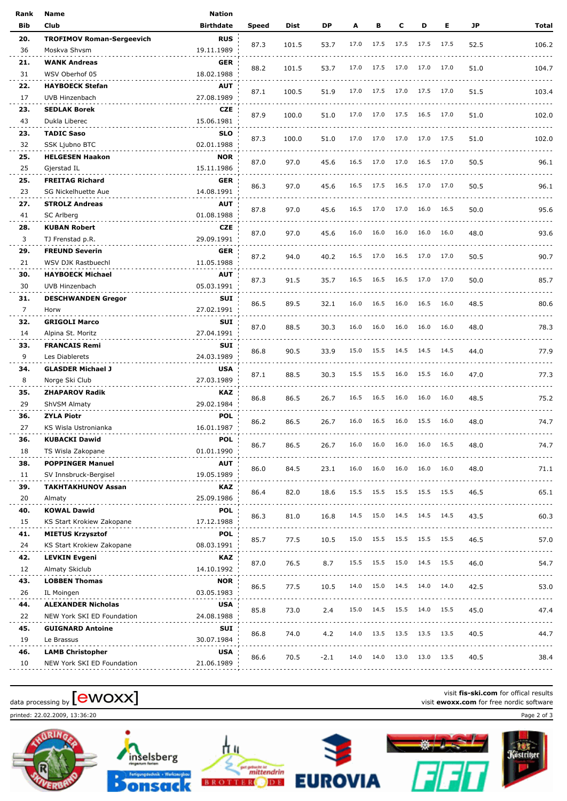| Rank           | Name                             | Nation           |       |       |        |      |      |      |           |      |      |                                     |
|----------------|----------------------------------|------------------|-------|-------|--------|------|------|------|-----------|------|------|-------------------------------------|
| Bib            | Club                             | <b>Birthdate</b> | Speed | Dist  | DP     | A    | в    | c    | D         | Е    | JP   | Total                               |
| 20.            | <b>TROFIMOV Roman-Sergeevich</b> | <b>RUS</b>       |       |       |        |      |      |      |           |      |      |                                     |
| 36             | Moskva Shvsm                     | 19.11.1989       | 87.3  | 101.5 | 53.7   | 17.0 | 17.5 | 17.5 | 17.5      | 17.5 | 52.5 | 106.2                               |
| 21.            | <b>WANK Andreas</b>              | <b>GER</b>       |       |       |        |      |      |      |           |      |      |                                     |
| 31             | WSV Oberhof 05                   | 18.02.1988       | 88.2  | 101.5 | 53.7   | 17.0 | 17.5 | 17.0 | 17.0      | 17.0 | 51.0 | 104.7                               |
| 22.            | <b>HAYBOECK Stefan</b>           | <b>AUT</b>       |       |       |        |      |      |      |           |      |      |                                     |
| 17             | UVB Hinzenbach                   | 27.08.1989       | 87.1  | 100.5 | 51.9   | 17.0 | 17.5 | 17.0 | 17.5 17.0 |      | 51.5 | 103.4                               |
| 23.            | <b>SEDLAK Borek</b>              | <b>CZE</b>       |       |       |        |      |      |      |           |      |      |                                     |
| 43             | Dukla Liberec                    | 15.06.1981       | 87.9  | 100.0 | 51.0   | 17.0 | 17.0 | 17.5 | 16.5 17.0 |      | 51.0 | 102.0                               |
| 23.            | <b>TADIC Saso</b>                | <b>SLO</b>       |       |       |        |      |      |      |           |      |      |                                     |
| 32             | SSK Ljubno BTC                   | 02.01.1988       | 87.3  | 100.0 | 51.0   | 17.0 | 17.0 | 17.0 | 17.0 17.5 |      | 51.0 | 102.0                               |
| 25.            | <b>HELGESEN Haakon</b>           | <b>NOR</b>       |       |       |        |      |      |      |           |      |      |                                     |
| 25             | Gjerstad IL                      | 15.11.1986       | 87.0  | 97.0  | 45.6   | 16.5 | 17.0 | 17.0 | 16.5 17.0 |      | 50.5 | 96.1                                |
| 25.            | <b>FREITAG Richard</b>           | <b>GER</b>       |       |       |        |      |      |      |           |      |      |                                     |
| 23             | SG Nickelhuette Aue              | 14.08.1991       | 86.3  | 97.0  | 45.6   | 16.5 | 17.5 | 16.5 | 17.0 17.0 |      | 50.5 | 96.1                                |
| 27.            | <b>STROLZ Andreas</b>            | <b>AUT</b>       |       |       |        |      |      |      |           |      |      |                                     |
| 41             | SC Arlberg                       | 01.08.1988       | 87.8  | 97.0  | 45.6   | 16.5 | 17.0 | 17.0 | 16.0      | 16.5 | 50.0 | 95.6                                |
| 28.            | <b>KUBAN Robert</b>              | <b>CZE</b>       |       |       |        |      |      |      |           |      |      |                                     |
| 3              | TJ Frenstad p.R.                 | 29.09.1991       | 87.0  | 97.0  | 45.6   | 16.0 | 16.0 | 16.0 | 16.0      | 16.0 | 48.0 | 93.6                                |
| 29.            | <b>FREUND Severin</b>            | GER              |       |       |        |      |      |      |           |      |      |                                     |
| 21             | WSV DJK Rastbuechl               | 11.05.1988       | 87.2  | 94.0  | 40.2   | 16.5 | 17.0 | 16.5 | 17.0 17.0 |      | 50.5 | 90.7                                |
| 30.            | <b>HAYBOECK Michael</b>          | <b>AUT</b>       |       |       |        |      |      |      |           |      |      |                                     |
| 30             | UVB Hinzenbach                   | 05.03.1991       | 87.3  | 91.5  | 35.7   | 16.5 | 16.5 | 16.5 | 17.0 17.0 |      | 50.0 | 85.7                                |
| 31.            | <b>DESCHWANDEN Gregor</b>        | <b>SUI</b>       |       |       |        |      |      |      |           |      |      |                                     |
| $\overline{7}$ | Horw                             | 27.02.1991       | 86.5  | 89.5  | 32.1   | 16.0 | 16.5 | 16.0 | 16.5      | 16.0 | 48.5 | 80.6                                |
| 32.            | <b>GRIGOLI Marco</b>             | SUI              |       |       |        |      |      |      |           |      |      |                                     |
| 14             | Alpina St. Moritz                | 27.04.1991       | 87.0  | 88.5  | 30.3   | 16.0 | 16.0 | 16.0 | 16.0      | 16.0 | 48.0 | 78.3                                |
| 33.            | <b>FRANCAIS Remi</b>             | SUI              |       |       |        |      |      |      |           |      |      |                                     |
| 9              | Les Diablerets                   | 24.03.1989       | 86.8  | 90.5  | 33.9   | 15.0 | 15.5 | 14.5 | 14.5      | 14.5 | 44.0 | 77.9                                |
| 34.            | <b>GLASDER Michael J</b>         | <b>USA</b>       |       |       |        |      |      |      |           |      |      |                                     |
| 8              | Norge Ski Club                   | 27.03.1989       | 87.1  | 88.5  | 30.3   | 15.5 | 15.5 | 16.0 | 15.5      | 16.0 | 47.0 | 77.3                                |
| 35.            | <b>ZHAPAROV Radik</b>            | <b>KAZ</b>       |       |       |        |      |      |      |           |      |      |                                     |
| 29             | ShVSM Almaty                     | 29.02.1984       | 86.8  | 86.5  | 26.7   | 16.5 | 16.5 | 16.0 | 16.0      | 16.0 | 48.5 | 75.2                                |
| 36.            | <b>ZYLA Piotr</b>                | <b>POL</b>       |       |       |        |      |      |      |           |      |      |                                     |
| 27             | KS Wisla Ustronianka             | 16.01.1987       | 86.2  | 86.5  | 26.7   | 16.0 | 16.5 | 16.0 | 15.5      | 16.0 | 48.0 | 74.7                                |
| 36.            | <b>KUBACKI Dawid</b>             | <b>POL</b>       |       |       |        |      |      |      |           |      |      |                                     |
| 18             | TS Wisla Zakopane                | 01.01.1990       | 86.7  | 86.5  | 26.7   | 16.0 | 16.0 | 16.0 | 16.0      | 16.5 | 48.0 | 74.7                                |
| 38.            | <b>POPPINGER Manuel</b>          | <b>AUT</b>       |       |       |        |      |      |      |           |      |      | $\sim$ $\sim$ $\sim$ $\sim$         |
| 11             | SV Innsbruck-Bergisel            | 19.05.1989       | 86.0  | 84.5  | 23.1   | 16.0 | 16.0 | 16.0 | 16.0      | 16.0 | 48.0 | 71.1                                |
| 39.            | <b>TAKHTAKHUNOV Assan</b>        | KAZ              |       |       |        |      |      |      |           |      |      | $\omega$ is $\omega$ in             |
| 20             | Almaty                           | 25.09.1986       | 86.4  | 82.0  | 18.6   | 15.5 | 15.5 | 15.5 | 15.5 15.5 |      | 46.5 | 65.1<br>$\sim$ $\sim$ $\sim$ $\sim$ |
| 40.            | <b>KOWAL Dawid</b>               | <b>POL</b>       |       |       |        |      |      |      |           |      |      |                                     |
| 15             | KS Start Krokiew Zakopane        | 17.12.1988       | 86.3  | 81.0  | 16.8   | 14.5 | 15.0 | 14.5 | 14.5 14.5 |      | 43.5 | 60.3                                |
| 41.            | <b>MIETUS Krzysztof</b>          | <b>POL</b>       |       |       |        |      |      |      |           |      |      |                                     |
| 24             | KS Start Krokiew Zakopane        | 08.03.1991       | 85.7  | 77.5  | 10.5   | 15.0 | 15.5 | 15.5 | 15.5 15.5 |      | 46.5 | 57.0                                |
| 42.            | <b>LEVKIN Evgeni</b>             | KAZ              |       |       |        |      |      |      |           |      |      |                                     |
| 12             | Almaty Skiclub                   | 14.10.1992       | 87.0  | 76.5  | 8.7    | 15.5 | 15.5 | 15.0 | 14.5 15.5 |      | 46.0 | 54.7                                |
| 43.            | <b>LOBBEN Thomas</b>             | <b>NOR</b>       |       |       |        |      |      |      |           |      |      |                                     |
| 26             | IL Moingen                       | 03.05.1983       | 86.5  | 77.5  | 10.5   | 14.0 | 15.0 | 14.5 | 14.0      | 14.0 | 42.5 | 53.0                                |
| 44.            | <b>ALEXANDER Nicholas</b>        | <b>USA</b>       |       |       |        |      |      |      |           |      |      |                                     |
| 22             | NEW York SKI ED Foundation       | 24.08.1988       | 85.8  | 73.0  | 2.4    | 15.0 | 14.5 | 15.5 | 14.0      | 15.5 | 45.0 | 47.4                                |
| 45.            | <b>GUIGNARD Antoine</b>          | SUI              |       |       |        |      |      |      |           |      |      |                                     |
| 19             | Le Brassus                       | 30.07.1984       | 86.8  | 74.0  | 4.2    | 14.0 | 13.5 | 13.5 | 13.5 13.5 |      | 40.5 | 44.7                                |
| 46.            | <b>LAMB Christopher</b>          | <b>USA</b>       |       |       |        |      |      |      |           |      |      |                                     |
| 10             | NEW York SKI ED Foundation       | 21.06.1989       | 86.6  | 70.5  | $-2.1$ | 14.0 | 14.0 | 13.0 | 13.0 13.5 |      | 40.5 | 38.4                                |
|                |                                  |                  |       |       |        |      |      |      |           |      |      |                                     |

printed: 22.02.2009, 13:36:20 Page 2 of 3



inselsberg bonsa



visit **fis-ski.com** for offical results data processing by **CWOXX** Next Compared at a processing by **CWOXX** Visit **ewoxx.com** for offical results